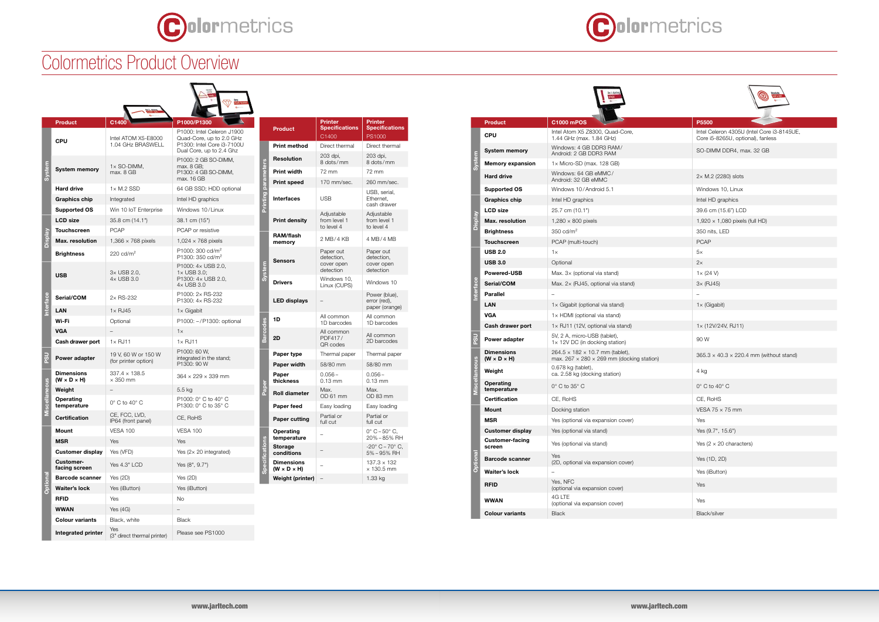

## Colormetrics Product Overview

| P5500                                                                           |
|---------------------------------------------------------------------------------|
| Intel Celeron 4305U (Intel Core i3-8145UE,<br>Core i5-8265U, optional), fanless |
| SO-DIMM DDR4, max. 32 GB                                                        |
|                                                                                 |
| $2 \times M.2$ (2280) slots                                                     |
| Windows 10, Linux                                                               |
| Intel HD graphics                                                               |
| 39.6 cm (15.6") LCD                                                             |
| 1,920 × 1,080 pixels (full HD)                                                  |
| 350 nits, LED                                                                   |
| <b>PCAP</b>                                                                     |
| $5\times$                                                                       |
| $2\times$                                                                       |
| $1 \times (24 V)$                                                               |
| $3\times$ (RJ45)                                                                |
|                                                                                 |
| $1 \times$ (Gigabit)                                                            |
|                                                                                 |
| 1x (12V/24V, RJ11)                                                              |
| 90 W                                                                            |
| $365.3 \times 40.3 \times 220.4$ mm (without stand)                             |
| 4 kg                                                                            |
| $0^\circ$ C to $40^\circ$ C                                                     |
| CE, RoHS                                                                        |
| VESA $75 \times 75$ mm                                                          |
| Yes                                                                             |
| Yes (9.7", 15.6")                                                               |
| Yes $(2 \times 20$ characters)                                                  |
| Yes (1D, 2D)                                                                    |
| Yes (iButton)                                                                   |
| Yes                                                                             |
| Yes                                                                             |
| <b>Black/silver</b>                                                             |

|                 | <b>Product</b>                               | C1000 mPOS                                                                                           | P5500                                                              |  |
|-----------------|----------------------------------------------|------------------------------------------------------------------------------------------------------|--------------------------------------------------------------------|--|
| <b>System</b>   | <b>CPU</b>                                   | Intel Atom X5 Z8300, Quad-Core,<br>1.44 GHz (max. 1.84 GHz)                                          | Intel Celeron 4305U (Intel Core<br>Core i5-8265U, optional), fanle |  |
|                 | <b>System memory</b>                         | Windows: 4 GB DDR3 RAM/<br>Android: 2 GB DDR3 RAM                                                    | SO-DIMM DDR4, max. 32 GB                                           |  |
|                 | <b>Memory expansion</b>                      | $1 \times$ Micro-SD (max. 128 GB)                                                                    |                                                                    |  |
|                 | <b>Hard drive</b>                            | Windows: 64 GB eMMC/<br>Android: 32 GB eMMC                                                          | $2 \times M.2$ (2280) slots                                        |  |
|                 | <b>Supported OS</b>                          | Windows 10/Android 5.1                                                                               | Windows 10, Linux                                                  |  |
|                 | <b>Graphics chip</b>                         | Intel HD graphics                                                                                    | Intel HD graphics                                                  |  |
|                 | <b>LCD size</b>                              | 25.7 cm (10.1")                                                                                      | 39.6 cm (15.6") LCD                                                |  |
| <b>Display</b>  | Max. resolution                              | $1,280 \times 800$ pixels                                                                            | 1,920 $\times$ 1,080 pixels (full HD)                              |  |
|                 | <b>Brightness</b>                            | $350 \text{ cd/m}^2$                                                                                 | 350 nits, LED                                                      |  |
|                 | <b>Touchscreen</b>                           | PCAP (multi-touch)                                                                                   | <b>PCAP</b>                                                        |  |
|                 | <b>USB 2.0</b>                               | $1\times$                                                                                            | 5x                                                                 |  |
|                 | <b>USB 3.0</b>                               | Optional                                                                                             | 2x                                                                 |  |
|                 | <b>Powered-USB</b>                           | Max. 3x (optional via stand)                                                                         | $1 \times (24 \text{ V})$                                          |  |
|                 | Serial/COM                                   | Max. 2x (RJ45, optional via stand)                                                                   | $3\times$ (RJ45)                                                   |  |
| Interface       | <b>Parallel</b>                              |                                                                                                      |                                                                    |  |
|                 | LAN                                          | $1 \times$ Gigabit (optional via stand)                                                              | $1 \times$ (Gigabit)                                               |  |
|                 | <b>VGA</b>                                   | $1 \times$ HDMI (optional via stand)                                                                 |                                                                    |  |
|                 | Cash drawer port                             | $1 \times$ RJ11 (12V, optional via stand)                                                            | $1 \times (12V/24V, RJ11)$                                         |  |
| ນຣິ             | Power adapter                                | 5V, 2 A, micro-USB (tablet),<br>$1 \times 12V$ DC (in docking station)                               | 90 W                                                               |  |
|                 | <b>Dimensions</b><br>$(W \times D \times H)$ | $264.5 \times 182 \times 10.7$ mm (tablet),<br>max. $267 \times 280 \times 269$ mm (docking station) | $365.3 \times 40.3 \times 220.4$ mm (wit                           |  |
| iscellaneous    | Weight                                       | 0.678 kg (tablet),<br>ca. 2.58 kg (docking station)                                                  | 4 kg                                                               |  |
|                 | Operating<br>temperature                     | $0^\circ$ C to 35 $^\circ$ C                                                                         | $0^\circ$ C to 40 $^\circ$ C                                       |  |
|                 | <b>Certification</b>                         | CE, RoHS                                                                                             | CE, RoHS                                                           |  |
|                 | Mount                                        | Docking station                                                                                      | VESA 75 $\times$ 75 mm                                             |  |
|                 | <b>MSR</b>                                   | Yes (optional via expansion cover)                                                                   | Yes                                                                |  |
|                 | <b>Customer display</b>                      | Yes (optional via stand)                                                                             | Yes (9.7", 15.6")                                                  |  |
|                 | <b>Customer-facing</b><br>screen             | Yes (optional via stand)                                                                             | Yes $(2 \times 20$ characters)                                     |  |
| <b>Optional</b> | <b>Barcode scanner</b>                       | Yes<br>(2D, optional via expansion cover)                                                            | Yes (1D, 2D)                                                       |  |
|                 | Waiter's lock                                |                                                                                                      | Yes (iButton)                                                      |  |
|                 | <b>RFID</b>                                  | Yes, NFC<br>(optional via expansion cover)                                                           | Yes                                                                |  |
|                 | WWAN                                         | 4G LTE<br>(optional via expansion cover)                                                             | Yes                                                                |  |
|                 | <b>Colour variants</b>                       | Black                                                                                                | Black/silver                                                       |  |

|              | <b>Product</b>                               | C1400                                       | P1000/P1300                                                                                                      |
|--------------|----------------------------------------------|---------------------------------------------|------------------------------------------------------------------------------------------------------------------|
|              | <b>CPU</b>                                   | Intel ATOM X5-E8000<br>1.04 GHz BRASWELL    | P1000: Intel Celeron J1900<br>Quad-Core, up to 2.0 GHz<br>P1300: Intel Core i3-7100U<br>Dual Core, up to 2.4 Ghz |
|              | <b>System memory</b>                         | 1× SO-DIMM,<br>max, 8 GB                    | P1000: 2 GB SO-DIMM,<br>max. 8 GB;<br>P1300: 4 GB SO-DIMM,<br>max. 16 GB                                         |
|              | <b>Hard drive</b>                            | $1 \times M.2$ SSD                          | 64 GB SSD; HDD optional                                                                                          |
|              | <b>Graphics chip</b>                         | Integrated                                  | Intel HD graphics                                                                                                |
|              | <b>Supported OS</b>                          | Win 10 IoT Enterprise                       | Windows 10/Linux                                                                                                 |
|              | <b>LCD size</b>                              | 35.8 cm (14.1")                             | 38.1 cm (15")                                                                                                    |
|              | <b>Touchscreen</b>                           | <b>PCAP</b>                                 | PCAP or resistive                                                                                                |
| Display      | <b>Max.</b> resolution                       | 1,366 $\times$ 768 pixels                   | 1,024 $\times$ 768 pixels                                                                                        |
|              | <b>Brightness</b>                            | 220 $\text{cd/m}^2$                         | $P1000:300 \text{ cd/m}^2$<br>P1300: 350 cd/m <sup>2</sup>                                                       |
|              | <b>USB</b>                                   | 3× USB 2.0,<br>4× USB 3.0                   | P1000: 4x USB 2.0,<br>$1 \times$ USB 3.0;<br>P1300: 4x USB 2.0,<br>4× USB 3.0                                    |
| nterface     | Serial/COM                                   | $2\times$ RS-232                            | P1000: 2x RS-232<br>P1300: 4× RS-232                                                                             |
|              | LAN                                          | $1 \times$ RJ45                             | $1\times$ Gigabit                                                                                                |
|              | Wi-Fi                                        | Optional                                    | P1000: -/P1300: optional                                                                                         |
|              | <b>VGA</b>                                   |                                             | $1\times$                                                                                                        |
|              | Cash drawer port                             | $1 \times$ RJ11                             | $1 \times$ RJ11                                                                                                  |
| <b>DSC</b>   | Power adapter                                | 19 V, 60 W or 150 W<br>(for printer option) | P1000: 60 W.<br>integrated in the stand;<br>P1300: 90 W                                                          |
|              | <b>Dimensions</b><br>$(W \times D \times H)$ | $337.4 \times 138.5$<br>$\times$ 350 mm     | $364 \times 229 \times 339$ mm                                                                                   |
|              | Weight                                       |                                             | 5.5 kg                                                                                                           |
| iscellaneous | Operating<br>temperature                     | $0^\circ$ C to $40^\circ$ C                 | P1000: 0° C to 40° C<br>P1300: 0° C to 35° C                                                                     |
|              | Certification                                | CE, FCC, LVD,<br>IP64 (front panel)         | CE, RoHS                                                                                                         |
|              | Mount                                        | <b>VESA 100</b>                             | <b>VESA 100</b>                                                                                                  |
|              | <b>MSR</b>                                   | Yes                                         | Yes                                                                                                              |
|              | Customer display                             | Yes (VFD)                                   | Yes (2x 20 integrated)                                                                                           |
|              | <b>Customer-</b><br>facing screen            | Yes 4.3" LCD                                | Yes (8", 9.7")                                                                                                   |
| Optional     | <b>Barcode scanner</b>                       | Yes $(2D)$                                  | Yes $(2D)$                                                                                                       |
|              | Waiter's lock                                | Yes (iButton)                               | Yes (iButton)                                                                                                    |
|              | <b>RFID</b>                                  | Yes                                         | No                                                                                                               |
|              | WWAN                                         | Yes $(4G)$                                  |                                                                                                                  |
|              | <b>Colour variants</b>                       | Black, white                                | <b>Black</b>                                                                                                     |
|              | Integrated printer                           | Yes<br>(3" direct thermal printer)          | Please see PS1000                                                                                                |



Printing parameters

System

| <b>Product</b>                               | <b>Printer</b><br><b>Specifications</b><br>C1400   | <b>Printer</b><br><b>Specifications</b><br>PS1000  |
|----------------------------------------------|----------------------------------------------------|----------------------------------------------------|
| <b>Print method</b>                          | Direct thermal                                     | Direct thermal                                     |
| <b>Resolution</b>                            | 203 dpi,<br>8 dots/mm                              | 203 dpi,<br>8 dots/mm                              |
| <b>Print width</b>                           | 72 mm                                              | 72 mm                                              |
| <b>Print speed</b>                           | 170 mm/sec.                                        | 260 mm/sec.                                        |
| Interfaces                                   | USB                                                | USB, serial,<br>Ethernet.<br>cash drawer           |
| <b>Print density</b>                         | Adjustable<br>from level 1<br>to level 4           | Adjustable<br>from level 1<br>to level 4           |
| <b>RAM/flash</b><br>memory                   | 2 MB/4 KB                                          | 4 MB/4 MB                                          |
| Sensors                                      | Paper out<br>detection,<br>cover open<br>detection | Paper out<br>detection,<br>cover open<br>detection |
| <b>Drivers</b>                               | Windows 10,<br>Linux (CUPS)                        | Windows 10                                         |
| <b>LED displays</b>                          |                                                    | Power (blue),<br>error (red),<br>paper (orange)    |
| 1D                                           | All common<br>1D barcodes                          | All common<br>1D barcodes                          |
| 2D                                           | All common<br>PDF417/<br>QR codes                  | All common<br>2D barcodes                          |
| Paper type                                   | Thermal paper                                      | Thermal paper                                      |
| Paper width                                  | 58/80 mm                                           | 58/80 mm                                           |
| Paper<br>thickness                           | $0.056 -$<br>$0.13$ mm                             | $0.056 -$<br>$0.13$ mm                             |
| <b>Roll diameter</b>                         | Max.<br>OD 61 mm                                   | Max.<br>OD 83 mm                                   |
| Paper feed                                   | Easy loading                                       | Easy loading                                       |
| Paper cutting                                | Partial or<br>full cut                             | Partial or<br>full cut                             |
| Operating<br>temperature                     |                                                    | $0^{\circ}$ C ~ 50 $^{\circ}$ C,<br>20%~85% RH     |
| <b>Storage</b><br>conditions                 |                                                    | $-20^{\circ}$ C ~ 70 $^{\circ}$ C,<br>5%~95% RH    |
| <b>Dimensions</b><br>$(W \times D \times H)$ |                                                    | $137.3 \times 132$<br>$\times$ 130.5 mm            |
| Weight (printer)                             |                                                    | 1.33 kg                                            |

Barcodes

Paper

Specifications